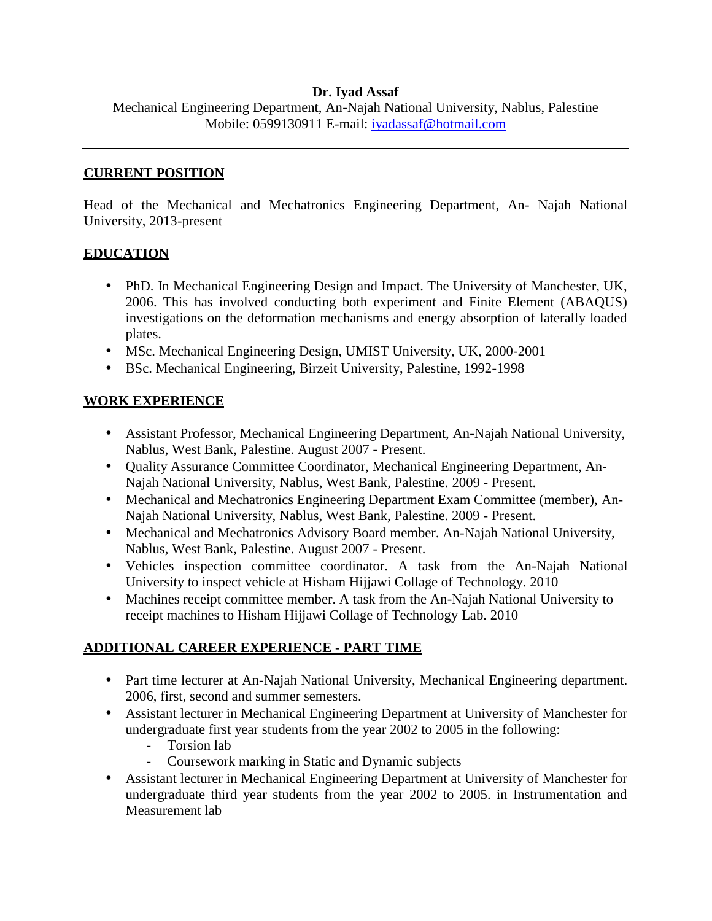#### **Dr. Iyad Assaf**

Mechanical Engineering Department, An-Najah National University, Nablus, Palestine Mobile: 0599130911 E-mail: iyadassaf@hotmail.com

#### **CURRENT POSITION**

Head of the Mechanical and Mechatronics Engineering Department, An- Najah National University, 2013-present

#### **EDUCATION**

- PhD. In Mechanical Engineering Design and Impact. The University of Manchester, UK, 2006. This has involved conducting both experiment and Finite Element (ABAQUS) investigations on the deformation mechanisms and energy absorption of laterally loaded plates.
- MSc. Mechanical Engineering Design, UMIST University, UK, 2000-2001
- BSc. Mechanical Engineering, Birzeit University, Palestine, 1992-1998

#### **WORK EXPERIENCE**

- Assistant Professor, Mechanical Engineering Department, An-Najah National University, Nablus, West Bank, Palestine. August 2007 - Present.
- Quality Assurance Committee Coordinator, Mechanical Engineering Department, An- Najah National University, Nablus, West Bank, Palestine. 2009 - Present.
- Mechanical and Mechatronics Engineering Department Exam Committee (member), An- Najah National University, Nablus, West Bank, Palestine. 2009 - Present.
- Mechanical and Mechatronics Advisory Board member. An-Najah National University, Nablus, West Bank, Palestine. August 2007 - Present.
- Vehicles inspection committee coordinator. A task from the An-Najah National University to inspect vehicle at Hisham Hijjawi Collage of Technology. 2010
- Machines receipt committee member. A task from the An-Najah National University to receipt machines to Hisham Hijjawi Collage of Technology Lab. 2010

# **ADDITIONAL CAREER EXPERIENCE - PART TIME**

- Part time lecturer at An-Najah National University, Mechanical Engineering department. 2006, first, second and summer semesters.
- Assistant lecturer in Mechanical Engineering Department at University of Manchester for undergraduate first year students from the year 2002 to 2005 in the following:
	- Torsion lab
	- Coursework marking in Static and Dynamic subjects
- Assistant lecturer in Mechanical Engineering Department at University of Manchester for undergraduate third year students from the year 2002 to 2005. in Instrumentation and Measurement lab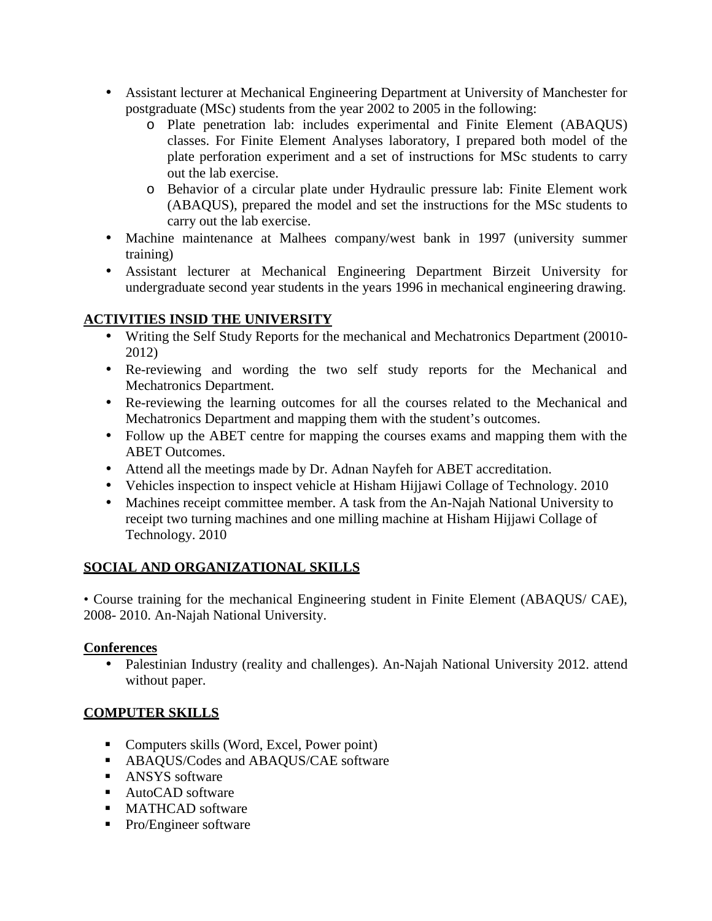- Assistant lecturer at Mechanical Engineering Department at University of Manchester for postgraduate (MSc) students from the year 2002 to 2005 in the following:
	- o Plate penetration lab: includes experimental and Finite Element (ABAQUS) classes. For Finite Element Analyses laboratory, I prepared both model of the plate perforation experiment and a set of instructions for MSc students to carry out the lab exercise.
	- o Behavior of a circular plate under Hydraulic pressure lab: Finite Element work (ABAQUS), prepared the model and set the instructions for the MSc students to carry out the lab exercise.
- Machine maintenance at Malhees company/west bank in 1997 (university summer training)
- Assistant lecturer at Mechanical Engineering Department Birzeit University for undergraduate second year students in the years 1996 in mechanical engineering drawing.

# **ACTIVITIES INSID THE UNIVERSITY**

- Writing the Self Study Reports for the mechanical and Mechatronics Department (20010- 2012)
- Re-reviewing and wording the two self study reports for the Mechanical and Mechatronics Department.
- Re-reviewing the learning outcomes for all the courses related to the Mechanical and Mechatronics Department and mapping them with the student's outcomes.
- Follow up the ABET centre for mapping the courses exams and mapping them with the ABET Outcomes.
- Attend all the meetings made by Dr. Adnan Nayfeh for ABET accreditation.
- Vehicles inspection to inspect vehicle at Hisham Hijjawi Collage of Technology. 2010
- Machines receipt committee member. A task from the An-Najah National University to receipt two turning machines and one milling machine at Hisham Hijjawi Collage of Technology. 2010

# **SOCIAL AND ORGANIZATIONAL SKILLS**

• Course training for the mechanical Engineering student in Finite Element (ABAQUS/ CAE), 2008- 2010. An-Najah National University.

#### **Conferences**

• Palestinian Industry (reality and challenges). An-Najah National University 2012. attend without paper.

# **COMPUTER SKILLS**

- Computers skills (Word, Excel, Power point)
- **ABAQUS/Codes and ABAQUS/CAE software**
- **ANSYS** software
- AutoCAD software
- MATHCAD software
- Pro/Engineer software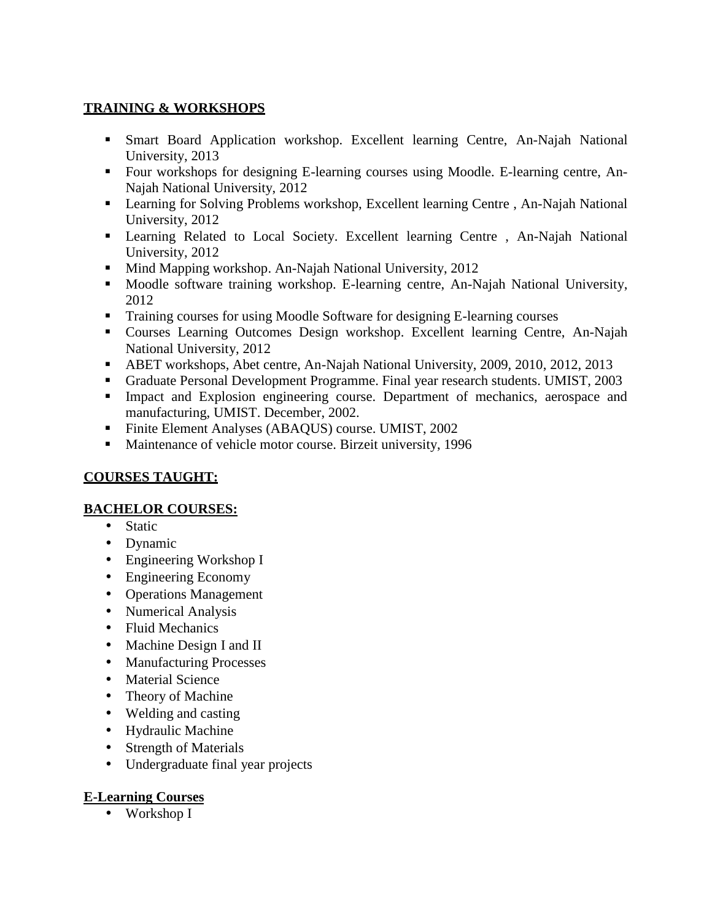# **TRAINING & WORKSHOPS**

- Smart Board Application workshop. Excellent learning Centre, An-Najah National University, 2013
- Four workshops for designing E-learning courses using Moodle. E-learning centre, An- Najah National University, 2012
- **EXECUTE:** Learning for Solving Problems workshop, Excellent learning Centre, An-Najah National University, 2012
- Learning Related to Local Society. Excellent learning Centre , An-Najah National University, 2012
- Mind Mapping workshop. An-Najah National University, 2012
- **Moodle software training workshop.** E-learning centre, An-Najah National University, 2012
- Training courses for using Moodle Software for designing E-learning courses
- Courses Learning Outcomes Design workshop. Excellent learning Centre, An-Najah National University, 2012
- ABET workshops, Abet centre, An-Najah National University, 2009, 2010, 2012, 2013
- Graduate Personal Development Programme. Final year research students. UMIST, 2003
- Impact and Explosion engineering course. Department of mechanics, aerospace and manufacturing, UMIST. December, 2002.
- Finite Element Analyses (ABAQUS) course. UMIST, 2002
- **Maintenance of vehicle motor course. Birzeit university, 1996**

# **COURSES TAUGHT:**

#### **BACHELOR COURSES:**

- Static
- Dynamic
- Engineering Workshop I
- Engineering Economy
- Operations Management
- Numerical Analysis
- Fluid Mechanics
- Machine Design I and II
- Manufacturing Processes
- Material Science
- Theory of Machine
- Welding and casting
- Hydraulic Machine
- Strength of Materials
- Undergraduate final year projects

# **E-Learning Courses**

• Workshop I